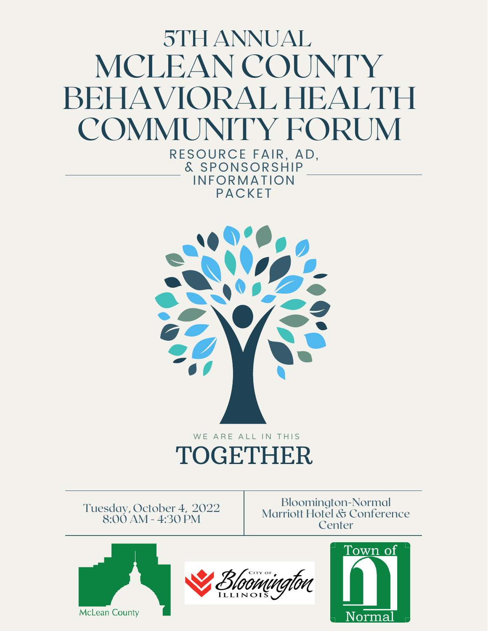## 5TH ANNUAL MCLEAN COUNTY BEHAVIORAL HEA COMMUNITY FORU

RESOURCE FAIR, AD, & SPONSORSHIP INFORMATION PACKET



Tuesday, October 4, 2022 8:00 AM - 4:30 PM

Bloomington-Normal Marriott Hotel & Conference **Center** 





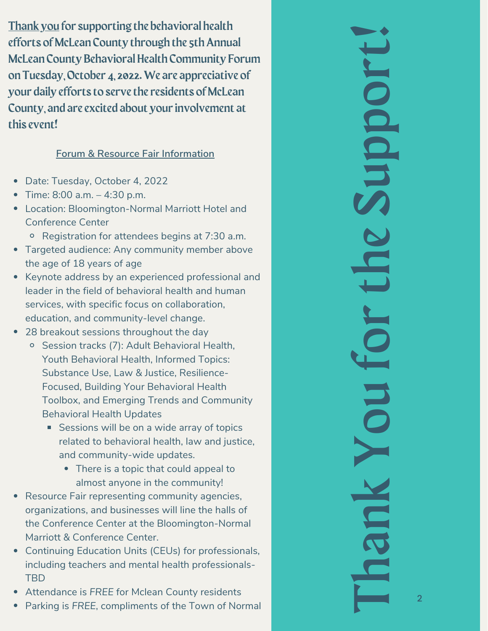Thank you for supporting the behavioral health<br>
effects of McLean County through the sth Amnual<br>
effects of McLean County Behavioral Health Community Forum<br>
on Tuesday, October 4, 2022. We are appreciative of<br>
your daily e

- Date: Tuesday, October 4, 2022
- Tim e: 8:0 0 a.m. 4:3 0 p.m.
- Location: Bloomington-Normal Marriott Hotel and Conference Center
	- Registration for attendees begins at 7:30 a.m.
- Targeted audience: Any community member abov e the age of 18 years of age
- Keynote address by an experienced professional and leader in the field of behavioral health and human services, with specific focus on collaboration, education, and community-level change.
- 28 breakout sessions throughout the day
	- <sup>o</sup> Session tracks (7): Adult Behavioral Health, Youth Behavioral Health, Informed Topics: Substance Use, Law & Justice, Resilience- Focused, Building Your Behavioral Health Toolbox, and Emerging Trends and Community Behavioral Health Updates
		- Sessions will be on a wide array of topics related to behavioral health, law and justice, and community-wide updates.
			- There is a topic that could appeal to almost anyone in the community!
- Resource Fair representing community agencies, organizations, and businesses will line the halls of the Conference Center at the Bloomington-Normal Marriott & Conference Center.
- Continuing Education Units (CEUs) for professionals, including teachers and mental health professionals- TBD
- Attendance is *FREE* for Mclean County residents
- 

Thank You for the Support! hank You for the Support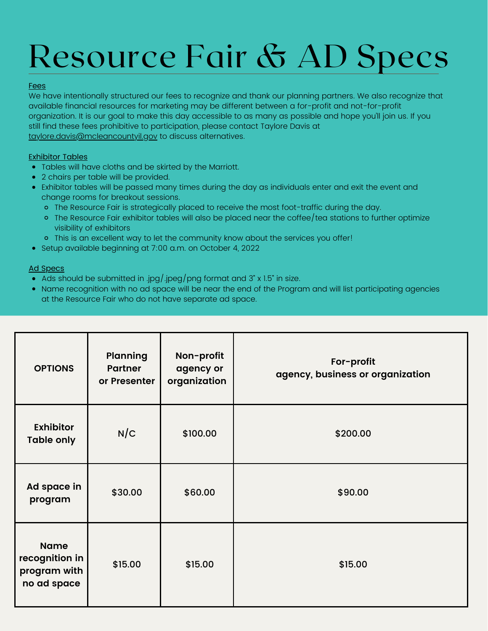## Resource Fair & AD Specs

#### Fees

We have intentionally structured our fees to recognize and thank our planning partners. We also recognize that available financial resources for marketing may be different between a for-profit and not-for-profit organization. It is our goal to make this day accessible to as many as possible and hope you'll join us. If you still find these fees prohibitive to participation, please contact Taylore Davis at [taylore.davis@mcleancountyil.gov](mailto:taylore.davis@mcleancountyil.gov) to discuss alternatives.

#### Exhibitor Tables

- Tables will have cloths and be skirted by the Marriott.
- 2 chairs per table will be provided.
- Exhibitor tables will be passed many times during the day as individuals enter and exit the event and change rooms for breakout sessions.
	- The Resource Fair is strategically placed to receive the most foot-traffic during the day.
	- o The Resource Fair exhibitor tables will also be placed near the coffee/tea stations to further optimize visibility of exhibitors
	- o This is an excellent way to let the community know about the services you offer!
- Setup available beginning at 7:00 a.m. on October 4, 2022

#### Ad Specs

- Ads should be submitted in .jpg/.jpeg/png format and 3" x 1.5" in size.
- Name recognition with no ad space will be near the end of the Program and will list participating agencies at the Resource Fair who do not have separate ad space.

| <b>OPTIONS</b>                                               | <b>Planning</b><br><b>Partner</b><br>or Presenter | Non-profit<br>agency or<br>organization | For-profit<br>agency, business or organization |
|--------------------------------------------------------------|---------------------------------------------------|-----------------------------------------|------------------------------------------------|
| <b>Exhibitor</b><br><b>Table only</b>                        | N/C                                               | \$100.00                                | \$200.00                                       |
| Ad space in<br>program                                       | \$30.00                                           | \$60.00                                 | \$90.00                                        |
| <b>Name</b><br>recognition in<br>program with<br>no ad space | \$15.00                                           | \$15.00                                 | \$15.00                                        |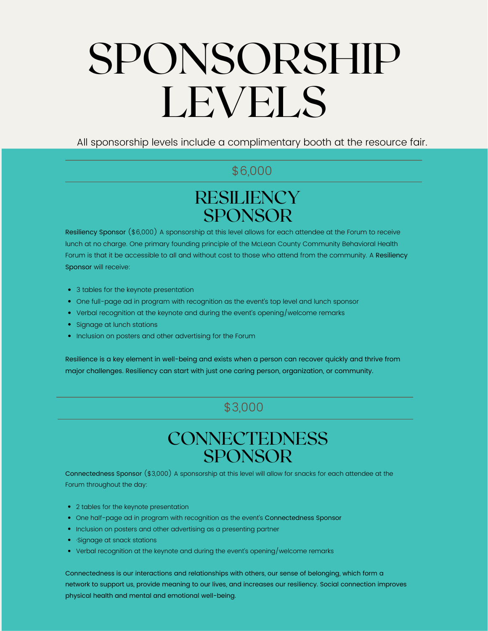# SPONSORSHIP LEVELS

All sponsorship levels include a complimentary booth at the resource fair.

#### \$6,000

## **RESILIENCY** SPONSOR

Resiliency Sponsor (\$6,000) A sponsorship at this level allows for each attendee at the Forum to receive lunch at no charge. One primary founding principle of the McLean County Community Behavioral Health Forum is that it be accessible to all and without cost to those who attend from the community. A Resiliency Sponsor will receive:

- 3 tables for the keynote presentation
- One full-page ad in program with recognition as the event's top level and lunch sponsor
- Verbal recognition at the keynote and during the event's opening/welcome remarks
- Signage at lunch stations
- Inclusion on posters and other advertising for the Forum

Resilience is a key element in well-being and exists when a person can recover quickly and thrive from major challenges. Resiliency can start with just one caring person, organization, or community.

### \$3,000

## **CONNECTEDNESS** SPONSOR

Connectedness Sponsor (\$3,000) A sponsorship at this level will allow for snacks for each attendee at the Forum throughout the day:

- 2 tables for the keynote presentation
- One half-page ad in program with recognition as the event's Connectedness Sponsor
- Inclusion on posters and other advertising as a presenting partner
- ·Signage at snack stations
- Verbal recognition at the keynote and during the event's opening/welcome remarks

Connectedness is our interactions and relationships with others, our sense of belonging, which form a network to support us, provide meaning to our lives, and increases our resiliency. Social connection improves physical health and mental and emotional well-being.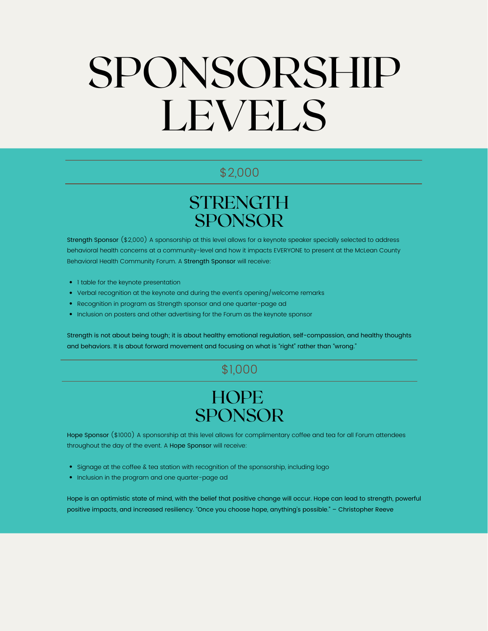# SPONSORSHIP LEVELS

#### \$2,000

## **STRENGTH** SPONSOR

Strength Sponsor (\$2,000) A sponsorship at this level allows for a keynote speaker specially selected to address behavioral health concerns at a community-level and how it impacts EVERYONE to present at the McLean County Behavioral Health Community Forum. A Strength Sponsor will receive:

- I table for the keynote presentation
- Verbal recognition at the keynote and during the event's opening/welcome remarks
- Recognition in program as Strength sponsor and one quarter-page ad
- Inclusion on posters and other advertising for the Forum as the keynote sponsor

Strength is not about being tough; it is about healthy emotional regulation, self-compassion, and healthy thoughts and behaviors. It is about forward movement and focusing on what is "right" rather than "wrong."

#### \$1,000

## **HOPE** SPONSOR

Hope Sponsor (\$1000) A sponsorship at this level allows for complimentary coffee and tea for all Forum attendees throughout the day of the event. A Hope Sponsor will receive:

- Signage at the coffee & tea station with recognition of the sponsorship, including logo
- Inclusion in the program and one quarter-page ad

Hope is an optimistic state of mind, with the belief that positive change will occur. Hope can lead to strength, powerful positive impacts, and increased resiliency. "Once you choose hope, anything's possible." – Christopher Reeve